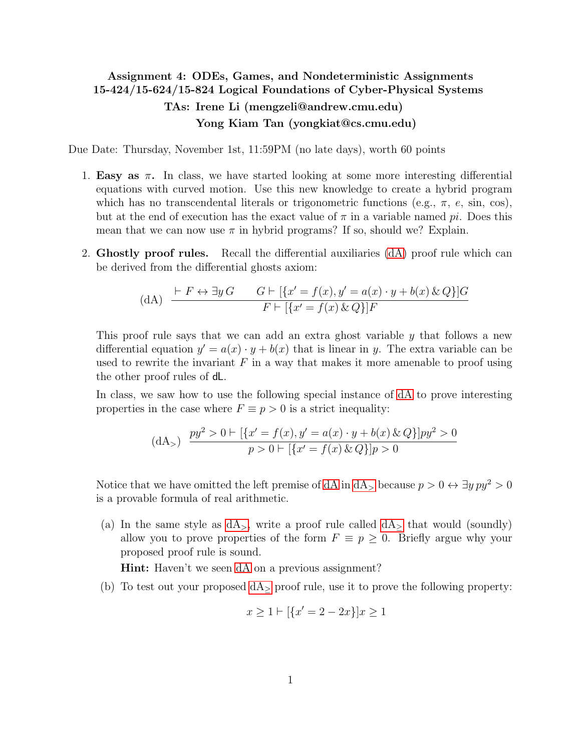## <span id="page-0-0"></span>Assignment 4: ODEs, Games, and Nondeterministic Assignments 15-424/15-624/15-824 Logical Foundations of Cyber-Physical Systems TAs: Irene Li (mengzeli@andrew.cmu.edu) Yong Kiam Tan (yongkiat@cs.cmu.edu)

Due Date: Thursday, November 1st, 11:59PM (no late days), worth 60 points

- 1. Easy as  $\pi$ . In class, we have started looking at some more interesting differential equations with curved motion. Use this new knowledge to create a hybrid program which has no transcendental literals or trigonometric functions (e.g.,  $\pi$ , e, sin, cos), but at the end of execution has the exact value of  $\pi$  in a variable named pi. Does this mean that we can now use  $\pi$  in hybrid programs? If so, should we? Explain.
- 2. Ghostly proof rules. Recall the differential auxiliaries [\(dA\)](#page-0-0) proof rule which can be derived from the differential ghosts axiom:

(dA) 
$$
\frac{\vdash F \leftrightarrow \exists y \, G \qquad G \vdash [\{x' = f(x), y' = a(x) \cdot y + b(x) \& Q\}]G}{F \vdash [\{x' = f(x) \& Q\}]F}
$$

This proof rule says that we can add an extra ghost variable y that follows a new differential equation  $y' = a(x) \cdot y + b(x)$  that is linear in y. The extra variable can be used to rewrite the invariant  $F$  in a way that makes it more amenable to proof using the other proof rules of dL.

In class, we saw how to use the following special instance of [dA](#page-0-0) to prove interesting properties in the case where  $F \equiv p > 0$  is a strict inequality:

<span id="page-0-1"></span>
$$
\text{(dA}_{>} \quad \frac{py^2 > 0 \vdash [\{x' = f(x), y' = a(x) \cdot y + b(x) \& Q\}]py^2 > 0}{p > 0 \vdash [\{x' = f(x) \& Q\}]p > 0}
$$

<span id="page-0-2"></span>Notice that we have omitted the left premise of [dA](#page-0-1) in dA<sub>></sub> because  $p > 0 \leftrightarrow \exists y \, py^2 > 0$ is a provable formula of real arithmetic.

(a) In the same style as  $dA_{>}$ , write a proof rule called  $dA_{>}$  that would (soundly) allow you to prove properties of the form  $F \equiv p \geq 0$ . Briefly argue why your proposed proof rule is sound.

Hint: Haven't we seen [dA](#page-0-0) on a previous assignment?

(b) To test out your proposed  $dA$ <sub>></sub> proof rule, use it to prove the following property:

$$
x \ge 1 \vdash [\{x' = 2 - 2x\}]x \ge 1
$$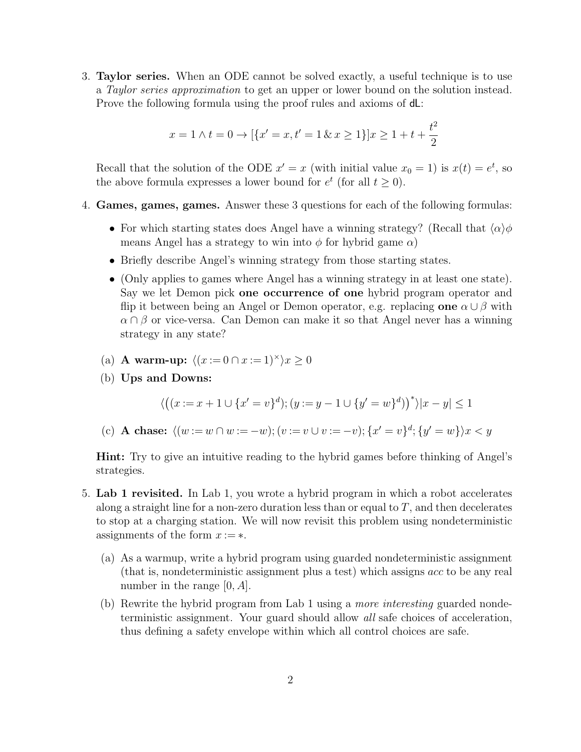3. Taylor series. When an ODE cannot be solved exactly, a useful technique is to use a Taylor series approximation to get an upper or lower bound on the solution instead. Prove the following formula using the proof rules and axioms of dL:

$$
x = 1 \land t = 0 \to [\{x' = x, t' = 1 \& x \ge 1\}]x \ge 1 + t + \frac{t^2}{2}
$$

Recall that the solution of the ODE  $x' = x$  (with initial value  $x_0 = 1$ ) is  $x(t) = e^t$ , so the above formula expresses a lower bound for  $e^t$  (for all  $t \geq 0$ ).

- 4. Games, games, games. Answer these 3 questions for each of the following formulas:
	- For which starting states does Angel have a winning strategy? (Recall that  $\langle \alpha \rangle \phi$ means Angel has a strategy to win into  $\phi$  for hybrid game  $\alpha$ )
	- Briefly describe Angel's winning strategy from those starting states.
	- (Only applies to games where Angel has a winning strategy in at least one state). Say we let Demon pick one occurrence of one hybrid program operator and flip it between being an Angel or Demon operator, e.g. replacing one  $\alpha \cup \beta$  with  $\alpha \cap \beta$  or vice-versa. Can Demon can make it so that Angel never has a winning strategy in any state?
	- (a) **A** warm-up:  $\langle (x := 0 \cap x := 1)^\times \rangle x > 0$
	- (b) Ups and Downs:

$$
\langle ((x := x + 1 \cup \{x' = v\}^d); (y := y - 1 \cup \{y' = w\}^d)) \rangle |x - y| \le 1
$$

(c) **A chase:**  $\langle (w := w \cap w := -w); (v := v \cup v := -v); \{x' = v\}^d; \{y' = w\} \rangle x < y$ 

Hint: Try to give an intuitive reading to the hybrid games before thinking of Angel's strategies.

- 5. Lab 1 revisited. In Lab 1, you wrote a hybrid program in which a robot accelerates along a straight line for a non-zero duration less than or equal to  $T$ , and then decelerates to stop at a charging station. We will now revisit this problem using nondeterministic assignments of the form  $x := *$ .
	- (a) As a warmup, write a hybrid program using guarded nondeterministic assignment (that is, nondeterministic assignment plus a test) which assigns acc to be any real number in the range  $[0, A]$ .
	- (b) Rewrite the hybrid program from Lab 1 using a more interesting guarded nondeterministic assignment. Your guard should allow all safe choices of acceleration, thus defining a safety envelope within which all control choices are safe.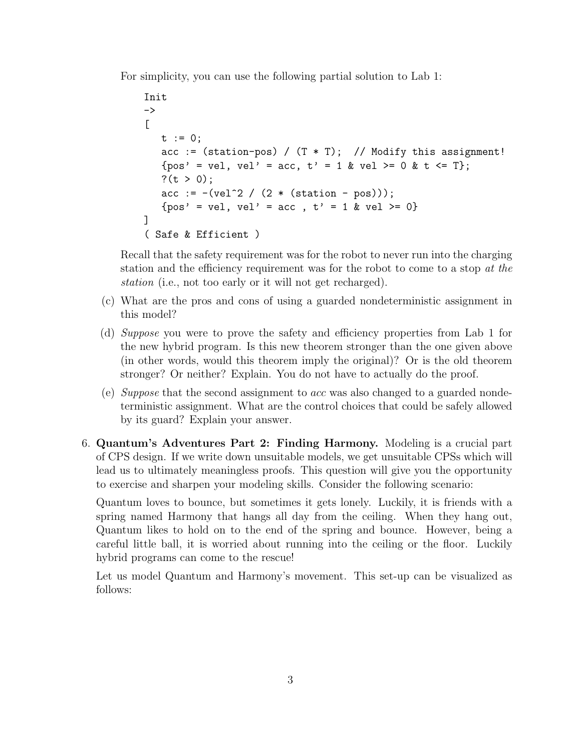For simplicity, you can use the following partial solution to Lab 1:

```
Init
\rightarrow\lceilt := 0;acc := (station-pos) / (T * T); // Modify this assignment!
   {pos' = vel, vel' = acc, t' = 1 & vel >= 0 & t \leq T};
   ?(t > 0);
   acc := -(vel^2 / (2 * (station - pos)));
   {pos' = vel, vel' = acc, t' = 1 & vel >= 0}
]
( Safe & Efficient )
```
Recall that the safety requirement was for the robot to never run into the charging station and the efficiency requirement was for the robot to come to a stop at the station (i.e., not too early or it will not get recharged).

- (c) What are the pros and cons of using a guarded nondeterministic assignment in this model?
- (d) Suppose you were to prove the safety and efficiency properties from Lab 1 for the new hybrid program. Is this new theorem stronger than the one given above (in other words, would this theorem imply the original)? Or is the old theorem stronger? Or neither? Explain. You do not have to actually do the proof.
- (e) Suppose that the second assignment to acc was also changed to a guarded nondeterministic assignment. What are the control choices that could be safely allowed by its guard? Explain your answer.
- 6. Quantum's Adventures Part 2: Finding Harmony. Modeling is a crucial part of CPS design. If we write down unsuitable models, we get unsuitable CPSs which will lead us to ultimately meaningless proofs. This question will give you the opportunity to exercise and sharpen your modeling skills. Consider the following scenario:

Quantum loves to bounce, but sometimes it gets lonely. Luckily, it is friends with a spring named Harmony that hangs all day from the ceiling. When they hang out, Quantum likes to hold on to the end of the spring and bounce. However, being a careful little ball, it is worried about running into the ceiling or the floor. Luckily hybrid programs can come to the rescue!

Let us model Quantum and Harmony's movement. This set-up can be visualized as follows: